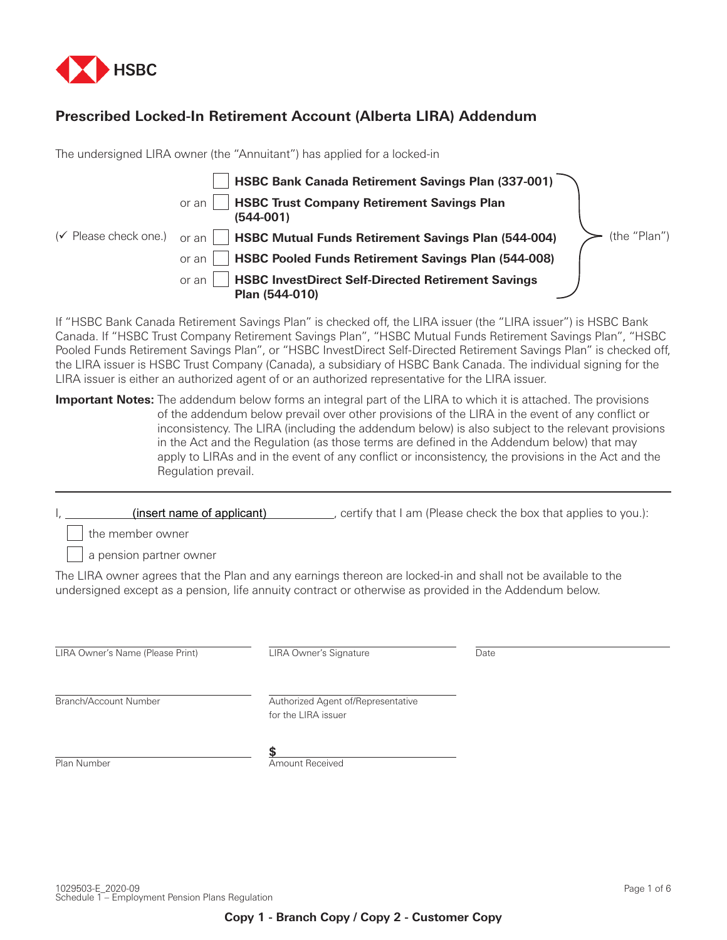

# **Prescribed Locked-In Retirement Account (Alberta LIRA) Addendum**

The undersigned LIRA owner (the "Annuitant") has applied for a locked-in



If "HSBC Bank Canada Retirement Savings Plan" is checked off, the LIRA issuer (the "LIRA issuer") is HSBC Bank Canada. If "HSBC Trust Company Retirement Savings Plan", "HSBC Mutual Funds Retirement Savings Plan", "HSBC Pooled Funds Retirement Savings Plan", or "HSBC InvestDirect Self-Directed Retirement Savings Plan" is checked off, the LIRA issuer is HSBC Trust Company (Canada), a subsidiary of HSBC Bank Canada. The individual signing for the LIRA issuer is either an authorized agent of or an authorized representative for the LIRA issuer.

**Important Notes:** The addendum below forms an integral part of the LIRA to which it is attached. The provisions of the addendum below prevail over other provisions of the LIRA in the event of any conflict or inconsistency. The LIRA (including the addendum below) is also subject to the relevant provisions in the Act and the Regulation (as those terms are defined in the Addendum below) that may apply to LIRAs and in the event of any conflict or inconsistency, the provisions in the Act and the Regulation prevail.

I, \_\_\_\_\_\_\_\_\_\_\_\_(insert name of applicant) \_\_\_\_\_\_\_\_\_\_\_, certify that I am (Please check the box that applies to you.):

the member owner

a pension partner owner

The LIRA owner agrees that the Plan and any earnings thereon are locked-in and shall not be available to the undersigned except as a pension, life annuity contract or otherwise as provided in the Addendum below.

LIRA Owner's Name (Please Print) LIRA Owner's Signature Date

Branch/Account Number Authorized Agent of/Representative for the LIRA issuer

Plan Number **Amount Received** 

**\$**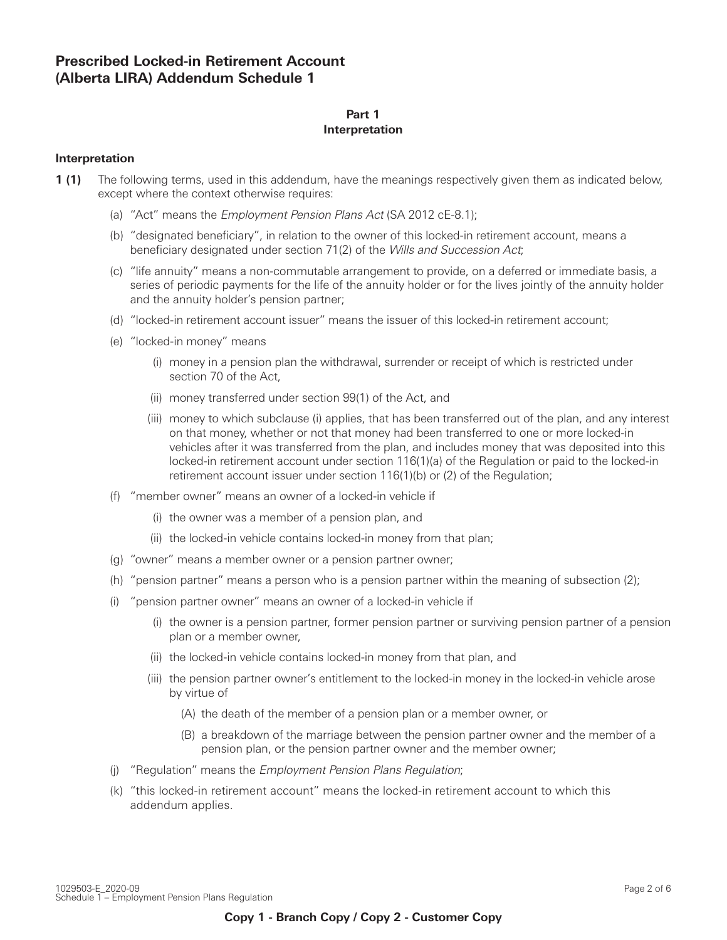# **Prescribed Locked-in Retirement Account (Alberta LIRA) Addendum Schedule 1**

## **Part 1 Interpretation**

## **Interpretation**

- **1 (1)** The following terms, used in this addendum, have the meanings respectively given them as indicated below, except where the context otherwise requires:
	- (a) "Act" means the Employment Pension Plans Act (SA 2012 cE-8.1);
	- (b) "designated beneficiary", in relation to the owner of this locked-in retirement account, means a beneficiary designated under section 71(2) of the Wills and Succession Act;
	- (c) "life annuity" means a non-commutable arrangement to provide, on a deferred or immediate basis, a series of periodic payments for the life of the annuity holder or for the lives jointly of the annuity holder and the annuity holder's pension partner;
	- (d) "locked-in retirement account issuer" means the issuer of this locked-in retirement account;
	- (e) "locked-in money" means
		- (i) money in a pension plan the withdrawal, surrender or receipt of which is restricted under section 70 of the Act,
		- (ii) money transferred under section 99(1) of the Act, and
		- (iii) money to which subclause (i) applies, that has been transferred out of the plan, and any interest on that money, whether or not that money had been transferred to one or more locked-in vehicles after it was transferred from the plan, and includes money that was deposited into this locked-in retirement account under section 116(1)(a) of the Regulation or paid to the locked-in retirement account issuer under section 116(1)(b) or (2) of the Regulation;
	- (f) "member owner" means an owner of a locked-in vehicle if
		- (i) the owner was a member of a pension plan, and
		- (ii) the locked-in vehicle contains locked-in money from that plan;
	- (g) "owner" means a member owner or a pension partner owner;
	- (h) "pension partner" means a person who is a pension partner within the meaning of subsection (2);
	- (i) "pension partner owner" means an owner of a locked-in vehicle if
		- (i) the owner is a pension partner, former pension partner or surviving pension partner of a pension plan or a member owner,
		- (ii) the locked-in vehicle contains locked-in money from that plan, and
		- (iii) the pension partner owner's entitlement to the locked-in money in the locked-in vehicle arose by virtue of
			- (A) the death of the member of a pension plan or a member owner, or
			- (B) a breakdown of the marriage between the pension partner owner and the member of a pension plan, or the pension partner owner and the member owner;
	- (j) "Regulation" means the Employment Pension Plans Regulation;
	- (k) "this locked-in retirement account" means the locked-in retirement account to which this addendum applies.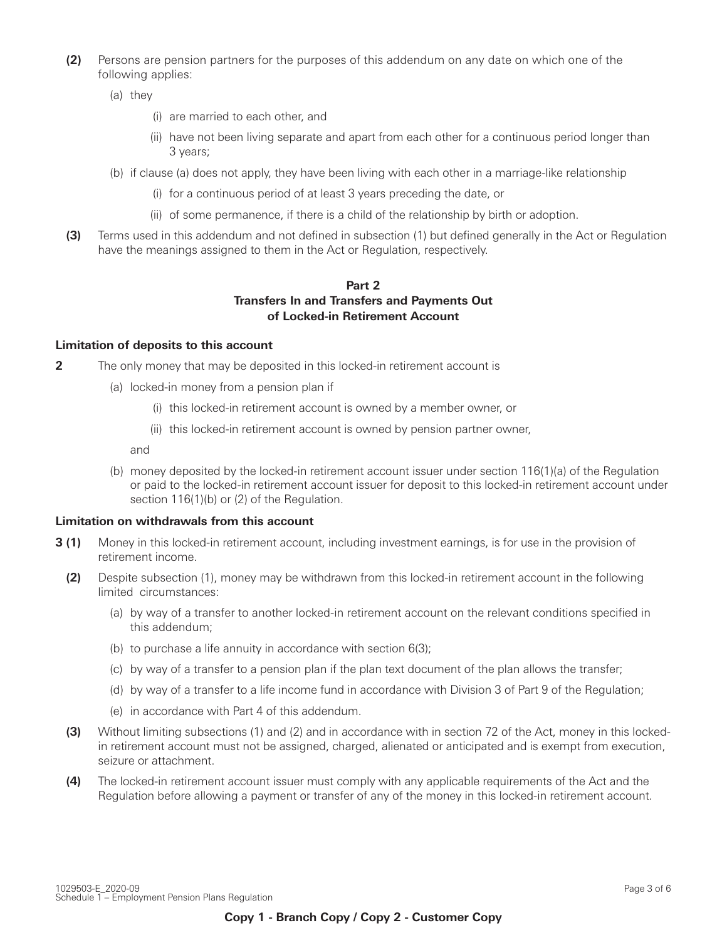- **12)** Persons are pension partners for the purposes of this addendum on any date on which one of the following applies:
	- (a) they
		- (i) are married to each other, and
		- (ii) have not been living separate and apart from each other for a continuous period longer than 3 years;
	- (b) if clause (a) does not apply, they have been living with each other in a marriage-like relationship
		- (i) for a continuous period of at least 3 years preceding the date, or
		- (ii) of some permanence, if there is a child of the relationship by birth or adoption.
- **13)** Terms used in this addendum and not defined in subsection (1) but defined generally in the Act or Regulation have the meanings assigned to them in the Act or Regulation, respectively.

# **Part 2 Transfers In and Transfers and Payments Out of Locked-in Retirement Account**

#### **Limitation of deposits to this account**

- **2** The only money that may be deposited in this locked-in retirement account is
	- (a) locked-in money from a pension plan if
		- (i) this locked-in retirement account is owned by a member owner, or
		- (ii) this locked-in retirement account is owned by pension partner owner,

and

(b) money deposited by the locked-in retirement account issuer under section 116(1)(a) of the Regulation or paid to the locked-in retirement account issuer for deposit to this locked-in retirement account under section 116(1)(b) or (2) of the Regulation.

## **Limitation on withdrawals from this account**

- **3 (1)** Money in this locked-in retirement account, including investment earnings, is for use in the provision of retirement income.
- **32)** Despite subsection (1), money may be withdrawn from this locked-in retirement account in the following limited circumstances:
	- (a) by way of a transfer to another locked-in retirement account on the relevant conditions specified in this addendum;
	- (b) to purchase a life annuity in accordance with section 6(3);
	- (c) by way of a transfer to a pension plan if the plan text document of the plan allows the transfer;
	- (d) by way of a transfer to a life income fund in accordance with Division 3 of Part 9 of the Regulation;
	- (e) in accordance with Part 4 of this addendum.
- **3** Without limiting subsections (1) and (2) and in accordance with in section 72 of the Act, money in this lockedin retirement account must not be assigned, charged, alienated or anticipated and is exempt from execution, seizure or attachment.
- **44** The locked-in retirement account issuer must comply with any applicable requirements of the Act and the Regulation before allowing a payment or transfer of any of the money in this locked-in retirement account.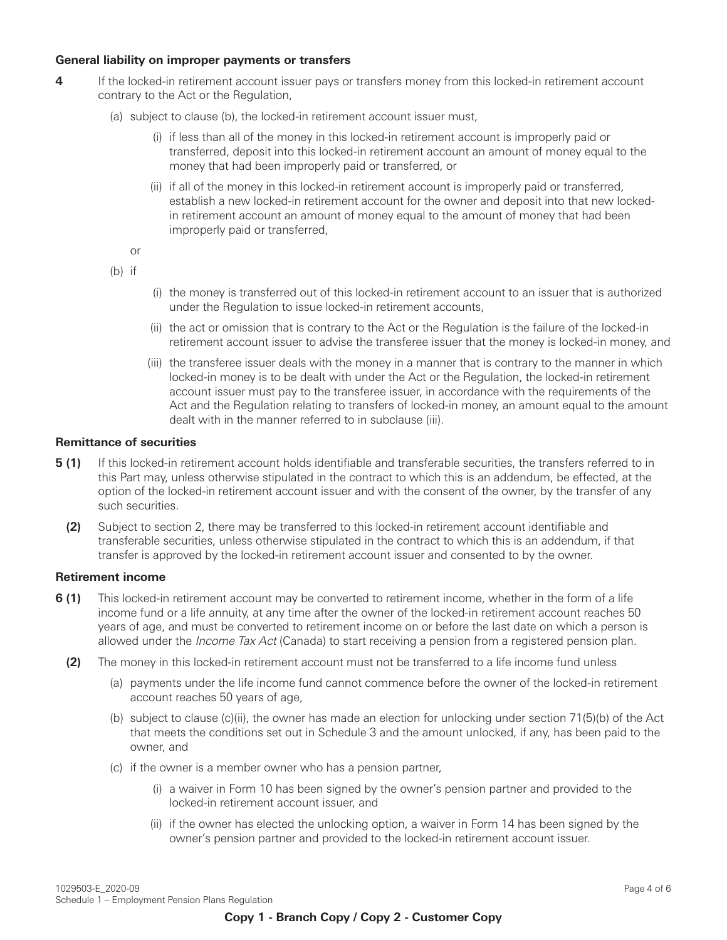## **General liability on improper payments or transfers**

- **4** If the locked-in retirement account issuer pays or transfers money from this locked-in retirement account contrary to the Act or the Regulation,
	- (a) subject to clause (b), the locked-in retirement account issuer must,
		- (i) if less than all of the money in this locked-in retirement account is improperly paid or transferred, deposit into this locked-in retirement account an amount of money equal to the money that had been improperly paid or transferred, or
		- (ii) if all of the money in this locked-in retirement account is improperly paid or transferred, establish a new locked-in retirement account for the owner and deposit into that new lockedin retirement account an amount of money equal to the amount of money that had been improperly paid or transferred,

or

(b) if

- (i) the money is transferred out of this locked-in retirement account to an issuer that is authorized under the Regulation to issue locked-in retirement accounts,
- (ii) the act or omission that is contrary to the Act or the Regulation is the failure of the locked-in retirement account issuer to advise the transferee issuer that the money is locked-in money, and
- (iii) the transferee issuer deals with the money in a manner that is contrary to the manner in which locked-in money is to be dealt with under the Act or the Regulation, the locked-in retirement account issuer must pay to the transferee issuer, in accordance with the requirements of the Act and the Regulation relating to transfers of locked-in money, an amount equal to the amount dealt with in the manner referred to in subclause (iii).

## **Remittance of securities**

- **5 (1)** If this locked-in retirement account holds identifiable and transferable securities, the transfers referred to in this Part may, unless otherwise stipulated in the contract to which this is an addendum, be effected, at the option of the locked-in retirement account issuer and with the consent of the owner, by the transfer of any such securities.
	- **5 (2)** Subject to section 2, there may be transferred to this locked-in retirement account identifiable and transferable securities, unless otherwise stipulated in the contract to which this is an addendum, if that transfer is approved by the locked-in retirement account issuer and consented to by the owner.

# **Retirement income**

- **6 (1)** This locked-in retirement account may be converted to retirement income, whether in the form of a life income fund or a life annuity, at any time after the owner of the locked-in retirement account reaches 50 years of age, and must be converted to retirement income on or before the last date on which a person is allowed under the *Income Tax Act* (Canada) to start receiving a pension from a registered pension plan.
	- **(2)** The money in this locked-in retirement account must not be transferred to a life income fund unless
		- (a) payments under the life income fund cannot commence before the owner of the locked-in retirement account reaches 50 years of age,
		- (b) subject to clause (c)(ii), the owner has made an election for unlocking under section 71(5)(b) of the Act that meets the conditions set out in Schedule 3 and the amount unlocked, if any, has been paid to the owner, and
		- (c) if the owner is a member owner who has a pension partner,
			- (i) a waiver in Form 10 has been signed by the owner's pension partner and provided to the locked-in retirement account issuer, and
			- (ii) if the owner has elected the unlocking option, a waiver in Form 14 has been signed by the owner's pension partner and provided to the locked-in retirement account issuer.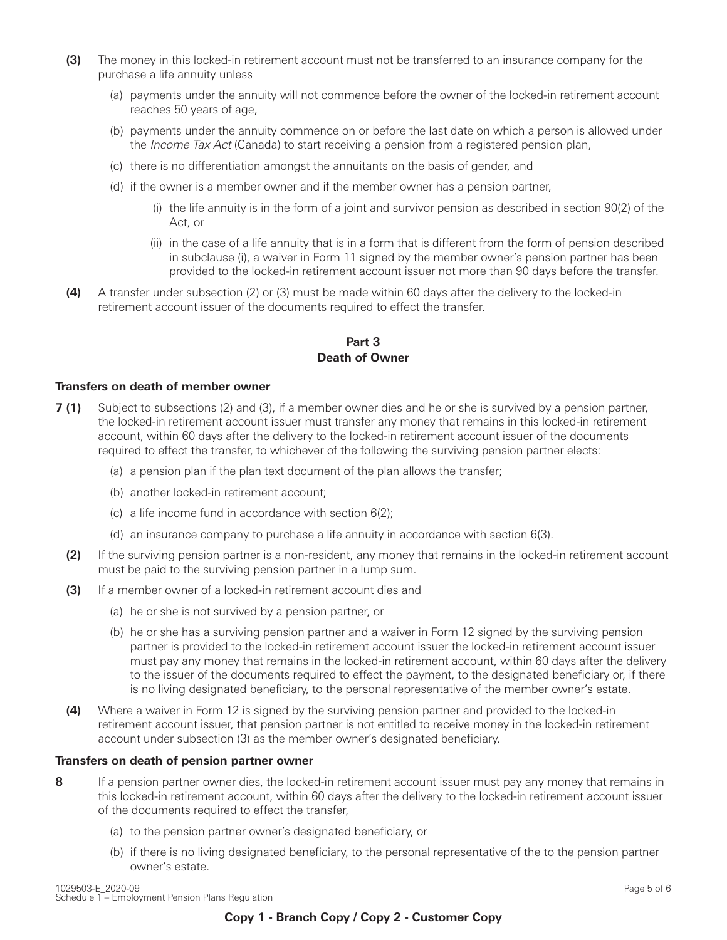- **(3)** The money in this locked-in retirement account must not be transferred to an insurance company for the purchase a life annuity unless
	- (a) payments under the annuity will not commence before the owner of the locked-in retirement account reaches 50 years of age,
	- (b) payments under the annuity commence on or before the last date on which a person is allowed under the *Income Tax Act* (Canada) to start receiving a pension from a registered pension plan,
	- (c) there is no differentiation amongst the annuitants on the basis of gender, and
	- (d) if the owner is a member owner and if the member owner has a pension partner,
		- (i) the life annuity is in the form of a joint and survivor pension as described in section 90(2) of the Act, or
		- (ii) in the case of a life annuity that is in a form that is different from the form of pension described in subclause (i), a waiver in Form 11 signed by the member owner's pension partner has been provided to the locked-in retirement account issuer not more than 90 days before the transfer.
- **6 (4)** A transfer under subsection (2) or (3) must be made within 60 days after the delivery to the locked-in retirement account issuer of the documents required to effect the transfer.

# **Part 3 Death of Owner**

## **Transfers on death of member owner**

- **7 (1)** Subject to subsections (2) and (3), if a member owner dies and he or she is survived by a pension partner, the locked-in retirement account issuer must transfer any money that remains in this locked-in retirement account, within 60 days after the delivery to the locked-in retirement account issuer of the documents required to effect the transfer, to whichever of the following the surviving pension partner elects:
	- (a) a pension plan if the plan text document of the plan allows the transfer;
	- (b) another locked-in retirement account;
	- (c) a life income fund in accordance with section 6(2);
	- (d) an insurance company to purchase a life annuity in accordance with section 6(3).
	- **(2)** If the surviving pension partner is a non-resident, any money that remains in the locked-in retirement account must be paid to the surviving pension partner in a lump sum.
	- **(3)** If a member owner of a locked-in retirement account dies and
		- (a) he or she is not survived by a pension partner, or
		- (b) he or she has a surviving pension partner and a waiver in Form 12 signed by the surviving pension partner is provided to the locked-in retirement account issuer the locked-in retirement account issuer must pay any money that remains in the locked-in retirement account, within 60 days after the delivery to the issuer of the documents required to effect the payment, to the designated beneficiary or, if there is no living designated beneficiary, to the personal representative of the member owner's estate.
	- **44)** Where a waiver in Form 12 is signed by the surviving pension partner and provided to the locked-in retirement account issuer, that pension partner is not entitled to receive money in the locked-in retirement account under subsection (3) as the member owner's designated beneficiary.

#### **Transfers on death of pension partner owner**

- **8** If a pension partner owner dies, the locked-in retirement account issuer must pay any money that remains in this locked-in retirement account, within 60 days after the delivery to the locked-in retirement account issuer of the documents required to effect the transfer,
	- (a) to the pension partner owner's designated beneficiary, or
	- (b) if there is no living designated beneficiary, to the personal representative of the to the pension partner owner's estate.